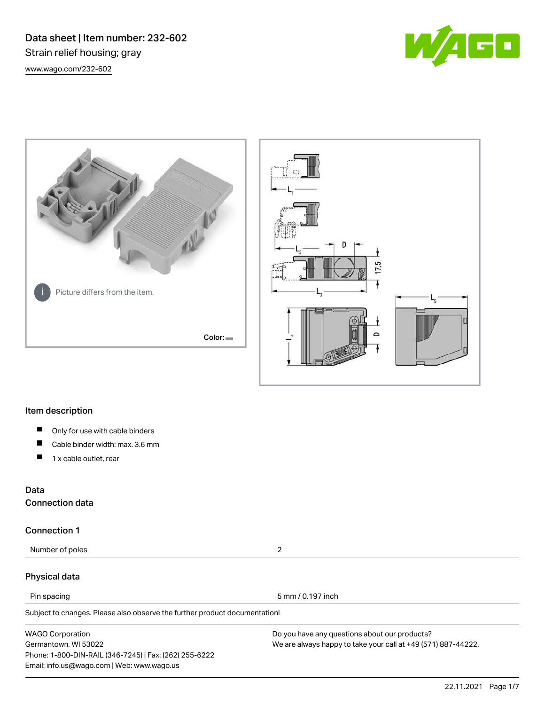Data sheet | Item number: 232-602 Strain relief housing; gray [www.wago.com/232-602](http://www.wago.com/232-602)







#### Item description

- $\blacksquare$ Only for use with cable binders
- П Cable binder width: max. 3.6 mm
- П 1 x cable outlet, rear

#### Data

Connection data

#### Connection 1

Number of poles 2

#### Physical data

Pin spacing 5 mm / 0.197 inch

Subject to changes. Please also observe the further product documentation!

WAGO Corporation Germantown, WI 53022 Phone: 1-800-DIN-RAIL (346-7245) | Fax: (262) 255-6222 Email: info.us@wago.com | Web: www.wago.us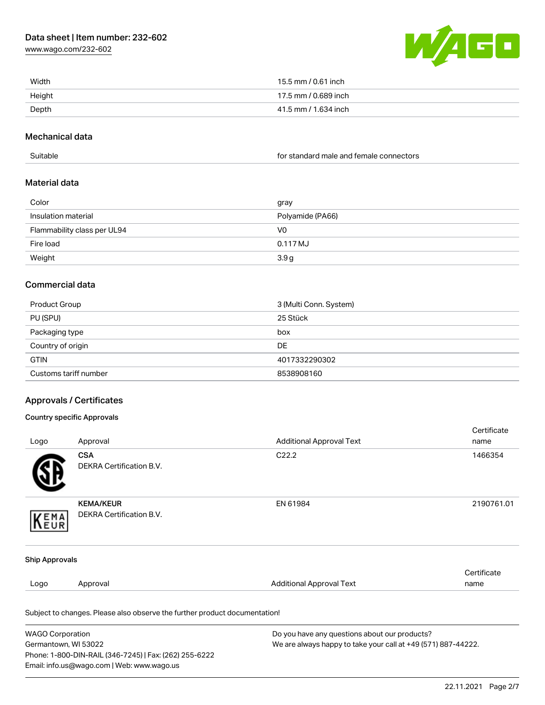[www.wago.com/232-602](http://www.wago.com/232-602)



| Width  | 15.5 mm / 0.61 inch  |
|--------|----------------------|
| Height | 17.5 mm / 0.689 inch |
| Depth  | 41.5 mm / 1.634 inch |

#### Mechanical data

| Suitable | for standard male and female connectors |
|----------|-----------------------------------------|
|          |                                         |

#### Material data

| Color                       | gray             |
|-----------------------------|------------------|
| Insulation material         | Polyamide (PA66) |
| Flammability class per UL94 | V0               |
| Fire load                   | 0.117 MJ         |
| Weight                      | 3.9 <sub>g</sub> |

#### Commercial data

| Product Group         | 3 (Multi Conn. System) |
|-----------------------|------------------------|
| PU (SPU)              | 25 Stück               |
| Packaging type        | box                    |
| Country of origin     | DE                     |
| <b>GTIN</b>           | 4017332290302          |
| Customs tariff number | 8538908160             |

#### Approvals / Certificates

#### Country specific Approvals

Germantown, WI 53022

Phone: 1-800-DIN-RAIL (346-7245) | Fax: (262) 255-6222

Email: info.us@wago.com | Web: www.wago.us

|                         |                                                                            |                                               | Certificate |
|-------------------------|----------------------------------------------------------------------------|-----------------------------------------------|-------------|
| Logo                    | Approval                                                                   | <b>Additional Approval Text</b>               | name        |
|                         | <b>CSA</b>                                                                 | C <sub>22.2</sub>                             | 1466354     |
|                         | DEKRA Certification B.V.                                                   |                                               |             |
|                         | <b>KEMA/KEUR</b>                                                           | EN 61984                                      | 2190761.01  |
| KEMA                    | DEKRA Certification B.V.                                                   |                                               |             |
| <b>Ship Approvals</b>   |                                                                            |                                               |             |
|                         |                                                                            |                                               | Certificate |
| Logo                    | Approval                                                                   | <b>Additional Approval Text</b>               | name        |
|                         | Subject to changes. Please also observe the further product documentation! |                                               |             |
| <b>WAGO Corporation</b> |                                                                            | Do you have any questions about our products? |             |

We are always happy to take your call at +49 (571) 887-44222.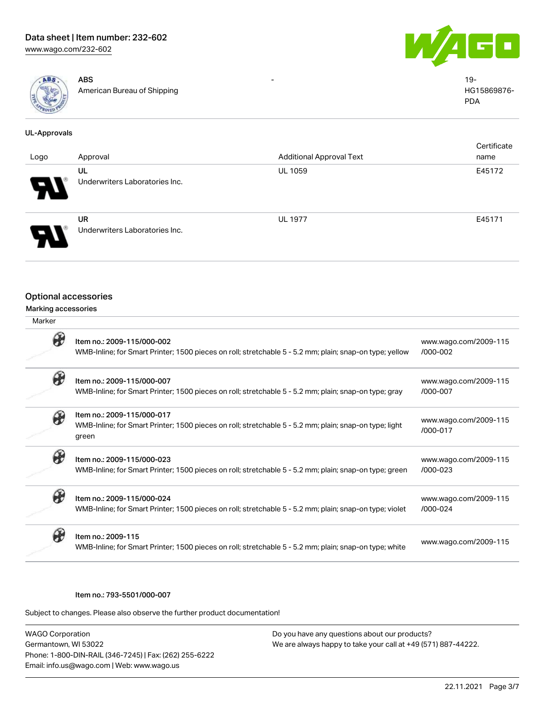



| ABS.            | ABS                         | 19-         |
|-----------------|-----------------------------|-------------|
|                 | American Bureau of Shipping | HG15869876- |
| <b>Comments</b> |                             | <b>PDA</b>  |
|                 |                             |             |

#### UL-Approvals Logo Approval Additional Approval Text **Certificate** name UL Underwriters Laboratories Inc. UL 1059 E45172 UR Underwriters Laboratories Inc. UL 1977 E45171

#### Optional accessories

#### Marking accessories

| Marker |                                                                                                                                               |                                       |
|--------|-----------------------------------------------------------------------------------------------------------------------------------------------|---------------------------------------|
|        | Item no.: 2009-115/000-002<br>WMB-Inline; for Smart Printer; 1500 pieces on roll; stretchable 5 - 5.2 mm; plain; snap-on type; yellow         | www.wago.com/2009-115<br>$/000 - 002$ |
|        | Item no.: 2009-115/000-007<br>WMB-Inline; for Smart Printer; 1500 pieces on roll; stretchable 5 - 5.2 mm; plain; snap-on type; gray           | www.wago.com/2009-115<br>/000-007     |
|        | Item no.: 2009-115/000-017<br>WMB-Inline; for Smart Printer; 1500 pieces on roll; stretchable 5 - 5.2 mm; plain; snap-on type; light<br>green | www.wago.com/2009-115<br>$/000 - 017$ |
|        | Item no.: 2009-115/000-023<br>WMB-Inline; for Smart Printer; 1500 pieces on roll; stretchable 5 - 5.2 mm; plain; snap-on type; green          | www.wago.com/2009-115<br>$/000 - 023$ |
|        | Item no.: 2009-115/000-024<br>WMB-Inline; for Smart Printer; 1500 pieces on roll; stretchable 5 - 5.2 mm; plain; snap-on type; violet         | www.wago.com/2009-115<br>/000-024     |
|        | Item no.: 2009-115<br>WMB-Inline; for Smart Printer; 1500 pieces on roll; stretchable 5 - 5.2 mm; plain; snap-on type; white                  | www.wago.com/2009-115                 |

#### Item no.: 793-5501/000-007

Subject to changes. Please also observe the further product documentation!

WAGO Corporation Germantown, WI 53022 Phone: 1-800-DIN-RAIL (346-7245) | Fax: (262) 255-6222 Email: info.us@wago.com | Web: www.wago.us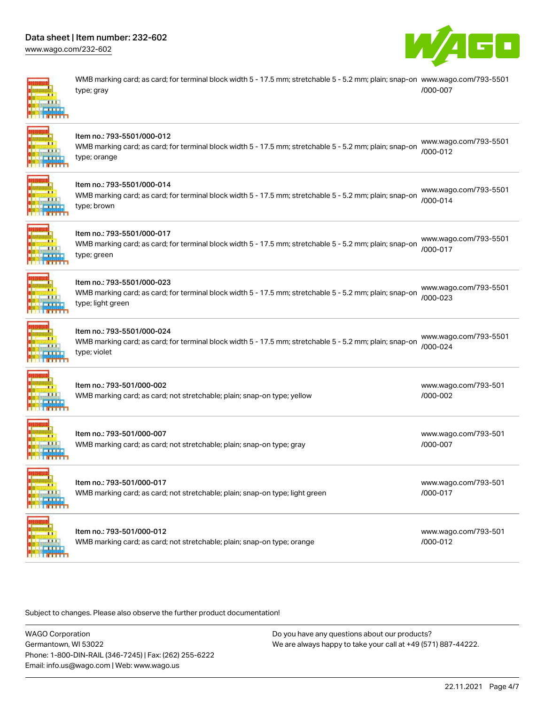[www.wago.com/232-602](http://www.wago.com/232-602)



[www.wago.com/793-501](http://www.wago.com/793-501/000-002)

[www.wago.com/793-501](http://www.wago.com/793-501/000-007)

[/000-002](http://www.wago.com/793-501/000-002)

[/000-007](http://www.wago.com/793-501/000-007)

WMB marking card; as card; for terminal block width 5 - 17.5 mm; stretchable 5 - 5.2 mm; plain; snap-on [www.wago.com/793-5501](http://www.wago.com/793-5501/000-007) type; gray [/000-007](http://www.wago.com/793-5501/000-007)



#### Item no.: 793-5501/000-012

[www.wago.com/793-5501](http://www.wago.com/793-5501/000-012).<br>WMB marking card; as card; for terminal block width 5 - 17.5 mm; stretchable 5 - 5.2 mm; plain; snap-on (eee eae type; orange [/000-012](http://www.wago.com/793-5501/000-012)



#### Item no.: 793-5501/000-014

WMB marking card; as card; for terminal block width 5 - 17.5 mm; stretchable 5 - 5.2 mm; plain; snap-on type; brown [www.wago.com/793-5501](http://www.wago.com/793-5501/000-014) [/000-014](http://www.wago.com/793-5501/000-014)



### Item no.: 793-5501/000-017

WMB marking card; as card; for terminal block width 5 - 17.5 mm; stretchable 5 - 5.2 mm; plain; snap-on type; green [www.wago.com/793-5501](http://www.wago.com/793-5501/000-017) [/000-017](http://www.wago.com/793-5501/000-017)



#### Item no.: 793-5501/000-023

WMB marking card; as card; for terminal block width 5 - 17.5 mm; stretchable 5 - 5.2 mm; plain; snap-on [/000-023](http://www.wago.com/793-5501/000-023) type; light green [www.wago.com/793-5501](http://www.wago.com/793-5501/000-023)



#### Item no.: 793-5501/000-024

WMB marking card; as card; for terminal block width 5 - 17.5 mm; stretchable 5 - 5.2 mm; plain; snap-on type; violet [www.wago.com/793-5501](http://www.wago.com/793-5501/000-024) [/000-024](http://www.wago.com/793-5501/000-024)

Item no.: 793-501/000-002 WMB marking card; as card; not stretchable; plain; snap-on type; yellow

Item no.: 793-501/000-007 WMB marking card; as card; not stretchable; plain; snap-on type; gray

Item no.: 793-501/000-017 WMB marking card; as card; not stretchable; plain; snap-on type; light green [www.wago.com/793-501](http://www.wago.com/793-501/000-017) [/000-017](http://www.wago.com/793-501/000-017)

Item no.: 793-501/000-012 WMB marking card; as card; not stretchable; plain; snap-on type; orange [www.wago.com/793-501](http://www.wago.com/793-501/000-012) [/000-012](http://www.wago.com/793-501/000-012)

Subject to changes. Please also observe the further product documentation!

WAGO Corporation Germantown, WI 53022 Phone: 1-800-DIN-RAIL (346-7245) | Fax: (262) 255-6222 Email: info.us@wago.com | Web: www.wago.us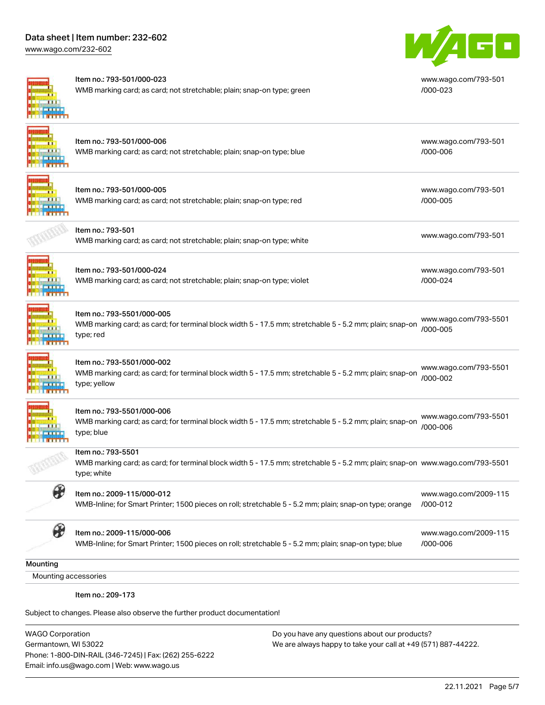[www.wago.com/232-602](http://www.wago.com/232-602)



#### Item no.: 793-501/000-023

WMB marking card; as card; not stretchable; plain; snap-on type; green



[www.wago.com/793-501](http://www.wago.com/793-501/000-023) [/000-023](http://www.wago.com/793-501/000-023)

#### Item no.: 793-501/000-006 WMB marking card; as card; not stretchable; plain; snap-on type; blue

# Item no.: 793-501/000-005

WMB marking card; as card; not stretchable; plain; snap-on type; red

WMB marking card; as card; not stretchable; plain; snap-on type; violet

[www.wago.com/793-501](http://www.wago.com/793-501/000-005)

[www.wago.com/793-501](http://www.wago.com/793-501/000-006)

[/000-006](http://www.wago.com/793-501/000-006)

[/000-005](http://www.wago.com/793-501/000-005)

nomio... 755 501<br>WMB marking card; as card; not stretchable; plain; snap-on type; white [www.wago.com/793-501](http://www.wago.com/793-501)

[www.wago.com/793-501](http://www.wago.com/793-501/000-024) [/000-024](http://www.wago.com/793-501/000-024)

[www.wago.com/2009-115](http://www.wago.com/2009-115/000-012)

[www.wago.com/2009-115](http://www.wago.com/2009-115/000-006)

[/000-006](http://www.wago.com/2009-115/000-006)



**THE R** 

#### Item no.: 793-5501/000-005

Item no.: 793-501/000-024

Item no.: 793-501

WMB marking card; as card; for terminal block width 5 - 17.5 mm; stretchable 5 - 5.2 mm; plain; snap-on type; red [www.wago.com/793-5501](http://www.wago.com/793-5501/000-005) [/000-005](http://www.wago.com/793-5501/000-005)

#### Item no.: 793-5501/000-002

WMB marking card; as card; for terminal block width 5 - 17.5 mm; stretchable 5 - 5.2 mm; plain; snap-on type; yellow [www.wago.com/793-5501](http://www.wago.com/793-5501/000-002) [/000-002](http://www.wago.com/793-5501/000-002)



#### Item no.: 793-5501/000-006

WMB marking card; as card; for terminal block width 5 - 17.5 mm; stretchable 5 - 5.2 mm; plain; snap-on type; blue [www.wago.com/793-5501](http://www.wago.com/793-5501/000-006) [/000-006](http://www.wago.com/793-5501/000-006)



#### Item no.: 793-5501

WMB marking card; as card; for terminal block width 5 - 17.5 mm; stretchable 5 - 5.2 mm; plain; snap-on [www.wago.com/793-5501](http://www.wago.com/793-5501) type; white



## Item no.: 2009-115/000-012

WMB-Inline; for Smart Printer; 1500 pieces on roll; stretchable 5 - 5.2 mm; plain; snap-on type; orange [/000-012](http://www.wago.com/2009-115/000-012)

### Item no.: 2009-115/000-006

WMB-Inline; for Smart Printer; 1500 pieces on roll; stretchable 5 - 5.2 mm; plain; snap-on type; blue

**Mounting** 

Mounting accessories

Item no.: 209-173

Subject to changes. Please also observe the further product documentation!

WAGO Corporation Germantown, WI 53022 Phone: 1-800-DIN-RAIL (346-7245) | Fax: (262) 255-6222 Email: info.us@wago.com | Web: www.wago.us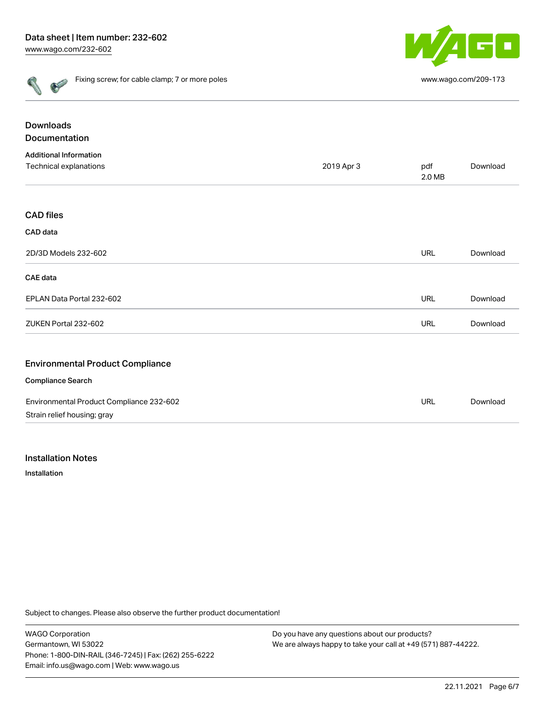

| ۰ | ï |
|---|---|
| ÷ | ÷ |

Fixing screw; for cable clamp; 7 or more poles [www.wago.com/209-173](http://www.wago.com/209-173)

| <b>Downloads</b>                         |            |               |          |
|------------------------------------------|------------|---------------|----------|
| Documentation                            |            |               |          |
| <b>Additional Information</b>            |            |               |          |
| Technical explanations                   | 2019 Apr 3 | pdf<br>2.0 MB | Download |
| <b>CAD files</b>                         |            |               |          |
| CAD data                                 |            |               |          |
| 2D/3D Models 232-602                     |            | <b>URL</b>    | Download |
| <b>CAE</b> data                          |            |               |          |
| EPLAN Data Portal 232-602                |            | <b>URL</b>    | Download |
| ZUKEN Portal 232-602                     |            | <b>URL</b>    | Download |
| <b>Environmental Product Compliance</b>  |            |               |          |
| <b>Compliance Search</b>                 |            |               |          |
| Environmental Product Compliance 232-602 |            | URL           | Download |
| Strain relief housing; gray              |            |               |          |

#### Installation Notes

Installation

Subject to changes. Please also observe the further product documentation!

WAGO Corporation Germantown, WI 53022 Phone: 1-800-DIN-RAIL (346-7245) | Fax: (262) 255-6222 Email: info.us@wago.com | Web: www.wago.us